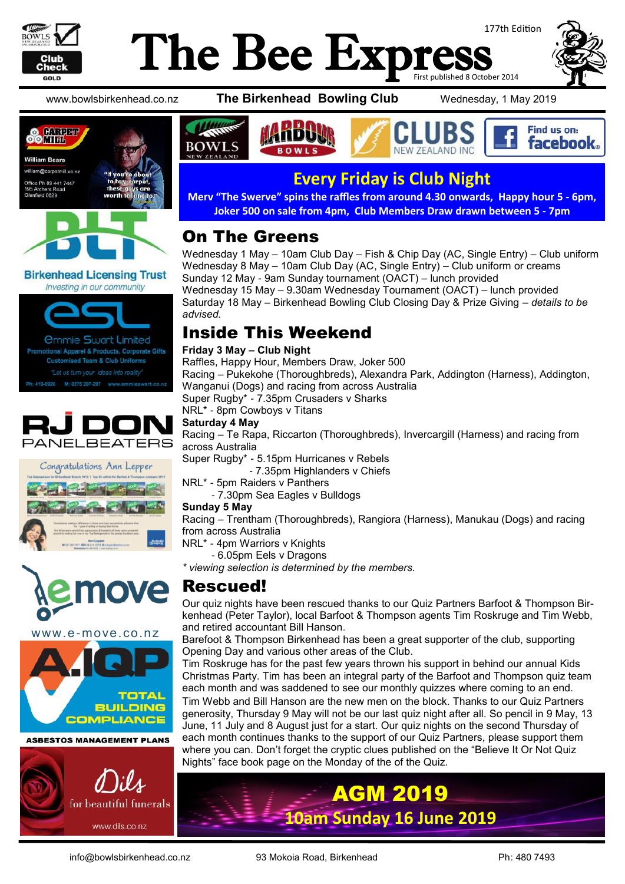

### The Bee Exp: 177th Edition First published 8 October 2014







**Birkenhead Licensing Trust** Investing in our community









www.e-move.co.nz



**ASBESTOS MANAGEMENT PLANS** 



www.bowlsbirkenhead.co.nz **The Birkenhead Bowling Club** Wednesday, 1 May 2019





## **Every Friday is Club Night**

**Merv "The Swerve" spins the raffles from around 4.30 onwards, Happy hour 5 - 6pm, Joker 500 on sale from 4pm, Club Members Draw drawn between 5 - 7pm**

## On The Greens

Wednesday 1 May – 10am Club Day – Fish & Chip Day (AC, Single Entry) – Club uniform Wednesday 8 May – 10am Club Day (AC, Single Entry) – Club uniform or creams Sunday 12 May - 9am Sunday tournament (OACT) – lunch provided Wednesday 15 May – 9.30am Wednesday Tournament (OACT) – lunch provided Saturday 18 May – Birkenhead Bowling Club Closing Day & Prize Giving – *details to be advised.*

### Inside This Weekend

### **Friday 3 May – Club Night**

Raffles, Happy Hour, Members Draw, Joker 500 Racing – Pukekohe (Thoroughbreds), Alexandra Park, Addington (Harness), Addington, Wanganui (Dogs) and racing from across Australia Super Rugby\* - 7.35pm Crusaders v Sharks

NRL\* - 8pm Cowboys v Titans

### **Saturday 4 May**

Racing – Te Rapa, Riccarton (Thoroughbreds), Invercargill (Harness) and racing from across Australia

Super Rugby\* - 5.15pm Hurricanes v Rebels

- 7.35pm Highlanders v Chiefs

NRL\* - 5pm Raiders v Panthers

- 7.30pm Sea Eagles v Bulldogs

#### **Sunday 5 May**

Racing – Trentham (Thoroughbreds), Rangiora (Harness), Manukau (Dogs) and racing from across Australia

NRL\* - 4pm Warriors v Knights

- 6.05pm Eels v Dragons

*\* viewing selection is determined by the members.*

### Rescued!

Our quiz nights have been rescued thanks to our Quiz Partners Barfoot & Thompson Birkenhead (Peter Taylor), local Barfoot & Thompson agents Tim Roskruge and Tim Webb, and retired accountant Bill Hanson.

Barefoot & Thompson Birkenhead has been a great supporter of the club, supporting Opening Day and various other areas of the Club.

Tim Roskruge has for the past few years thrown his support in behind our annual Kids Christmas Party. Tim has been an integral party of the Barfoot and Thompson quiz team each month and was saddened to see our monthly quizzes where coming to an end.

Tim Webb and Bill Hanson are the new men on the block. Thanks to our Quiz Partners generosity, Thursday 9 May will not be our last quiz night after all. So pencil in 9 May, 13 June, 11 July and 8 August just for a start. Our quiz nights on the second Thursday of each month continues thanks to the support of our Quiz Partners, please support them where you can. Don't forget the cryptic clues published on the "[Believe It Or Not Quiz](https://www.facebook.com/believeitornotquiz/?__tn__=kC-R&eid=ARDg0_EPKozbYli-FWeBQCH8-Yl87SdNjEVeIBXGfbijLxK7AWLzQGHr0CHZ6szH37rQT0pz5zEio7Jr&hc_ref=ARQYa7yje35BrN8UVoc9gUqKXfsNFHu8QqOntmULAQv5Lfqw8U17_Y7WFTTxqeoNdLM&fref=nf&__xts__%5B0%5D=68.ARBrFGeRNJxZ_-iS)  [Nights"](https://www.facebook.com/believeitornotquiz/?__tn__=kC-R&eid=ARDg0_EPKozbYli-FWeBQCH8-Yl87SdNjEVeIBXGfbijLxK7AWLzQGHr0CHZ6szH37rQT0pz5zEio7Jr&hc_ref=ARQYa7yje35BrN8UVoc9gUqKXfsNFHu8QqOntmULAQv5Lfqw8U17_Y7WFTTxqeoNdLM&fref=nf&__xts__%5B0%5D=68.ARBrFGeRNJxZ_-iS) face book page on the Monday of the of the Quiz.

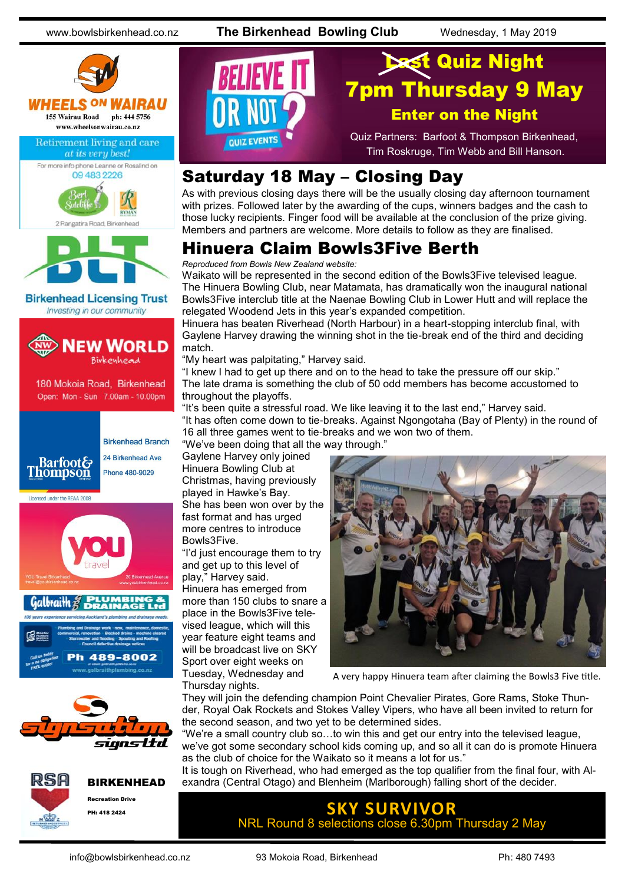www.bowlsbirkenhead.co.nz **The Birkenhead Bowling Club** Wednesday, 1 May 2019













**Quiz Night** 7pm Thursday 9 May Enter on the Night Quiz Partners: Barfoot & Thompson Birkenhead, QUIZ EVENTS Tim Roskruge, Tim Webb and Bill Hanson.

### Saturday 18 May – Closing Day

As with previous closing days there will be the usually closing day afternoon tournament with prizes. Followed later by the awarding of the cups, winners badges and the cash to those lucky recipients. Finger food will be available at the conclusion of the prize giving. Members and partners are welcome. More details to follow as they are finalised.

## Hinuera Claim Bowls3Five Berth

*Reproduced from Bowls New Zealand website:*

Waikato will be represented in the second edition of the Bowls3Five televised league. The Hinuera Bowling Club, near Matamata, has dramatically won the inaugural national Bowls3Five interclub title at the Naenae Bowling Club in Lower Hutt and will replace the relegated Woodend Jets in this year's expanded competition.

Hinuera has beaten Riverhead (North Harbour) in a heart-stopping interclub final, with Gaylene Harvey drawing the winning shot in the tie-break end of the third and deciding match.

"My heart was palpitating," Harvey said.

"I knew I had to get up there and on to the head to take the pressure off our skip." The late drama is something the club of 50 odd members has become accustomed to throughout the playoffs.

"It's been quite a stressful road. We like leaving it to the last end," Harvey said. "It has often come down to tie-breaks. Against Ngongotaha (Bay of Plenty) in the round of 16 all three games went to tie-breaks and we won two of them.

"We've been doing that all the way through."

Gaylene Harvey only joined Hinuera Bowling Club at Christmas, having previously played in Hawke's Bay. She has been won over by the fast format and has urged more centres to introduce Bowls3Five.

"I'd just encourage them to try and get up to this level of play," Harvey said.

Hinuera has emerged from more than 150 clubs to snare a place in the Bowls3Five televised league, which will this year feature eight teams and will be broadcast live on SKY Sport over eight weeks on Tuesday, Wednesday and Thursday nights.



A very happy Hinuera team after claiming the Bowls3 Five title.

They will join the defending champion Point Chevalier Pirates, Gore Rams, Stoke Thunder, Royal Oak Rockets and Stokes Valley Vipers, who have all been invited to return for the second season, and two yet to be determined sides.

"We're a small country club so…to win this and get our entry into the televised league, we've got some secondary school kids coming up, and so all it can do is promote Hinuera as the club of choice for the Waikato so it means a lot for us."

It is tough on Riverhead, who had emerged as the top qualifier from the final four, with Alexandra (Central Otago) and Blenheim (Marlborough) falling short of the decider.

> **URVIVOR** NRL Round 8 selections close 6.30pm Thursday 2 May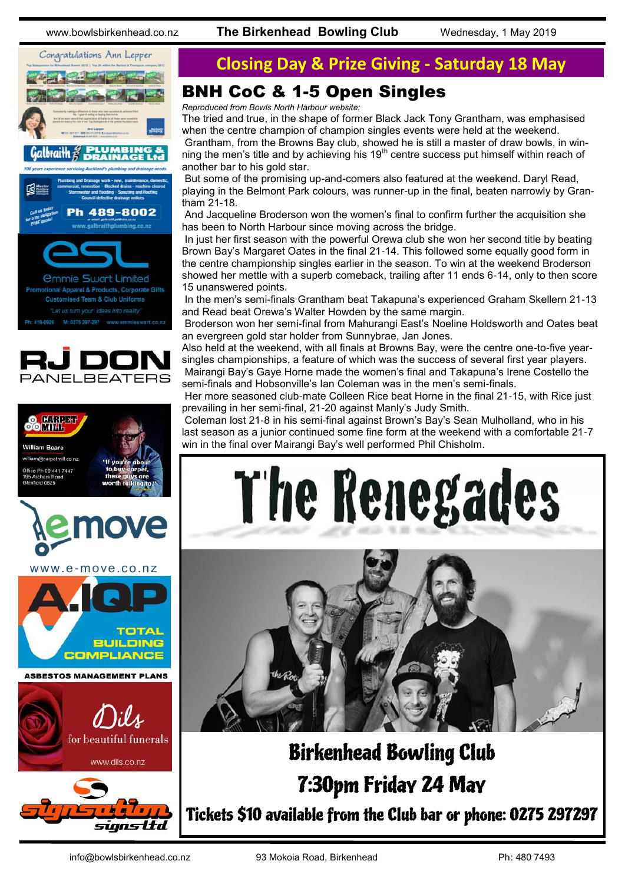www.bowlsbirkenhead.co.nz **The Birkenhead Bowling Club** Wednesday, 1 May 2019











## **Closing Day & Prize Giving - Saturday 18 May**

## BNH CoC & 1-5 Open Singles

*Reproduced from Bowls North Harbour website:*

The tried and true, in the shape of former Black Jack Tony Grantham, was emphasised when the centre champion of champion singles events were held at the weekend.

Grantham, from the Browns Bay club, showed he is still a master of draw bowls, in winning the men's title and by achieving his  $19<sup>th</sup>$  centre success put himself within reach of another bar to his gold star.

But some of the promising up-and-comers also featured at the weekend. Daryl Read, playing in the Belmont Park colours, was runner-up in the final, beaten narrowly by Grantham 21-18.

And Jacqueline Broderson won the women's final to confirm further the acquisition she has been to North Harbour since moving across the bridge.

In just her first season with the powerful Orewa club she won her second title by beating Brown Bay's Margaret Oates in the final 21-14. This followed some equally good form in the centre championship singles earlier in the season. To win at the weekend Broderson showed her mettle with a superb comeback, trailing after 11 ends 6-14, only to then score 15 unanswered points.

In the men's semi-finals Grantham beat Takapuna's experienced Graham Skellern 21-13 and Read beat Orewa's Walter Howden by the same margin.

Broderson won her semi-final from Mahurangi East's Noeline Holdsworth and Oates beat an evergreen gold star holder from Sunnybrae, Jan Jones.

Also held at the weekend, with all finals at Browns Bay, were the centre one-to-five yearsingles championships, a feature of which was the success of several first year players. Mairangi Bay's Gaye Horne made the women's final and Takapuna's Irene Costello the semi-finals and Hobsonville's Ian Coleman was in the men's semi-finals.

Her more seasoned club-mate Colleen Rice beat Horne in the final 21-15, with Rice just prevailing in her semi-final, 21-20 against Manly's Judy Smith.

Coleman lost 21-8 in his semi-final against Brown's Bay's Sean Mulholland, who in his last season as a junior continued some fine form at the weekend with a comfortable 21-7 win in the final over Mairangi Bay's well performed Phil Chisholm.





# Birkenhead Bowling Club 7:30pm Friday 24 May Tickets \$10 available from the Club bar or phone: 0275 297297